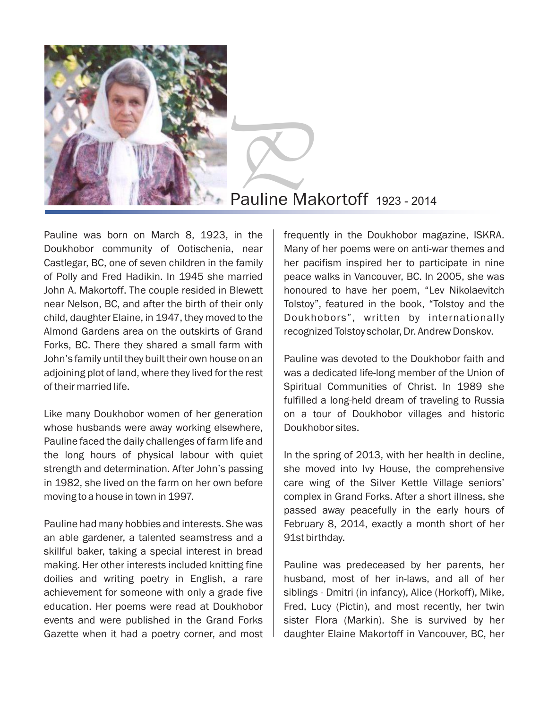

## **Pauline Makortoff** 1923 - 2014

Pauline was born on March 8, 1923, in the Doukhobor community of Ootischenia, near Castlegar, BC, one of seven children in the family of Polly and Fred Hadikin. In 1945 she married John A. Makortoff. The couple resided in Blewett near Nelson, BC, and after the birth of their only child, daughter Elaine, in 1947, they moved to the Almond Gardens area on the outskirts of Grand Forks, BC. There they shared a small farm with John's family until they built their own house on an adjoining plot of land, where they lived for the rest of their married life.

Like many Doukhobor women of her generation whose husbands were away working elsewhere, Pauline faced the daily challenges of farm life and the long hours of physical labour with quiet strength and determination. After John's passing in 1982, she lived on the farm on her own before moving to a house in town in 1997.

Pauline had many hobbies and interests. She was an able gardener, a talented seamstress and a skillful baker, taking a special interest in bread making. Her other interests included knitting fine doilies and writing poetry in English, a rare achievement for someone with only a grade five education. Her poems were read at Doukhobor events and were published in the Grand Forks Gazette when it had a poetry corner, and most frequently in the Doukhobor magazine, ISKRA. Many of her poems were on anti-war themes and her pacifism inspired her to participate in nine peace walks in Vancouver, BC. In 2005, she was honoured to have her poem, "Lev Nikolaevitch Tolstoy", featured in the book, "Tolstoy and the Doukhobors", written by internationally recognized Tolstoy scholar, Dr. Andrew Donskov.

Pauline was devoted to the Doukhobor faith and was a dedicated life-long member of the Union of Spiritual Communities of Christ. In 1989 she fulfilled a long-held dream of traveling to Russia on a tour of Doukhobor villages and historic Doukhobor sites.

In the spring of 2013, with her health in decline, she moved into Ivy House, the comprehensive care wing of the Silver Kettle Village seniors' complex in Grand Forks. After a short illness, she passed away peacefully in the early hours of February 8, 2014, exactly a month short of her 91st birthday.

Pauline was predeceased by her parents, her husband, most of her in-laws, and all of her siblings - Dmitri (in infancy), Alice (Horkoff), Mike, Fred, Lucy (Pictin), and most recently, her twin sister Flora (Markin). She is survived by her daughter Elaine Makortoff in Vancouver, BC, her